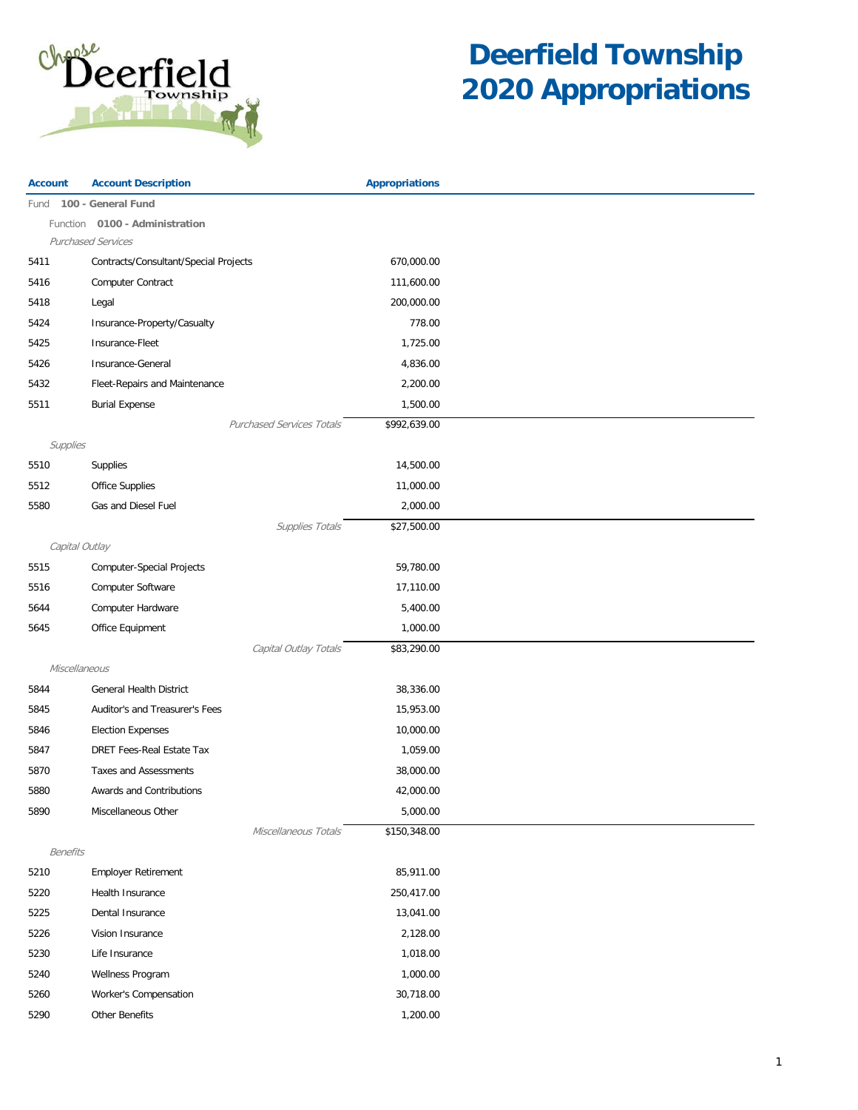

| <b>Account</b>  | <b>Account Description</b>            |                                  | <b>Appropriations</b> |
|-----------------|---------------------------------------|----------------------------------|-----------------------|
| Fund            | 100 - General Fund                    |                                  |                       |
| Function        | 0100 - Administration                 |                                  |                       |
|                 | <b>Purchased Services</b>             |                                  |                       |
| 5411            | Contracts/Consultant/Special Projects |                                  | 670,000.00            |
| 5416            | Computer Contract                     |                                  | 111,600.00            |
| 5418            | Legal                                 |                                  | 200,000.00            |
| 5424            | Insurance-Property/Casualty           |                                  | 778.00                |
| 5425            | Insurance-Fleet                       |                                  | 1,725.00              |
| 5426            | Insurance-General                     |                                  | 4,836.00              |
| 5432            | Fleet-Repairs and Maintenance         |                                  | 2,200.00              |
| 5511            | <b>Burial Expense</b>                 |                                  | 1,500.00              |
|                 |                                       | <b>Purchased Services Totals</b> | \$992,639.00          |
| Supplies        |                                       |                                  |                       |
| 5510            | Supplies                              |                                  | 14,500.00             |
| 5512            | Office Supplies                       |                                  | 11,000.00             |
| 5580            | Gas and Diesel Fuel                   |                                  | 2,000.00              |
|                 |                                       | Supplies Totals                  | \$27,500.00           |
| Capital Outlay  |                                       |                                  |                       |
| 5515            | Computer-Special Projects             |                                  | 59,780.00             |
| 5516            | Computer Software                     |                                  | 17,110.00             |
| 5644            | Computer Hardware                     |                                  | 5,400.00              |
| 5645            | Office Equipment                      |                                  | 1,000.00              |
|                 |                                       | Capital Outlay Totals            | \$83,290.00           |
| Miscellaneous   |                                       |                                  |                       |
| 5844            | General Health District               |                                  | 38,336.00             |
| 5845            | Auditor's and Treasurer's Fees        |                                  | 15,953.00             |
| 5846            | <b>Election Expenses</b>              |                                  | 10,000.00             |
| 5847            | <b>DRET Fees-Real Estate Tax</b>      |                                  | 1,059.00              |
|                 | <b>Taxes and Assessments</b>          |                                  |                       |
| 5870            |                                       |                                  | 38,000.00             |
| 5880            | Awards and Contributions              |                                  | 42,000.00             |
| 5890            | Miscellaneous Other                   |                                  | 5,000.00              |
|                 |                                       | Miscellaneous Totals             | \$150,348.00          |
| <b>Benefits</b> |                                       |                                  |                       |
| 5210            | <b>Employer Retirement</b>            |                                  | 85,911.00             |
| 5220            | Health Insurance                      |                                  | 250,417.00            |
| 5225            | Dental Insurance                      |                                  | 13,041.00             |
| 5226            | Vision Insurance                      |                                  | 2,128.00              |
| 5230            | Life Insurance                        |                                  | 1,018.00              |
| 5240            | Wellness Program                      |                                  | 1,000.00              |
| 5260            | Worker's Compensation                 |                                  | 30,718.00             |
| 5290            | Other Benefits                        |                                  | 1,200.00              |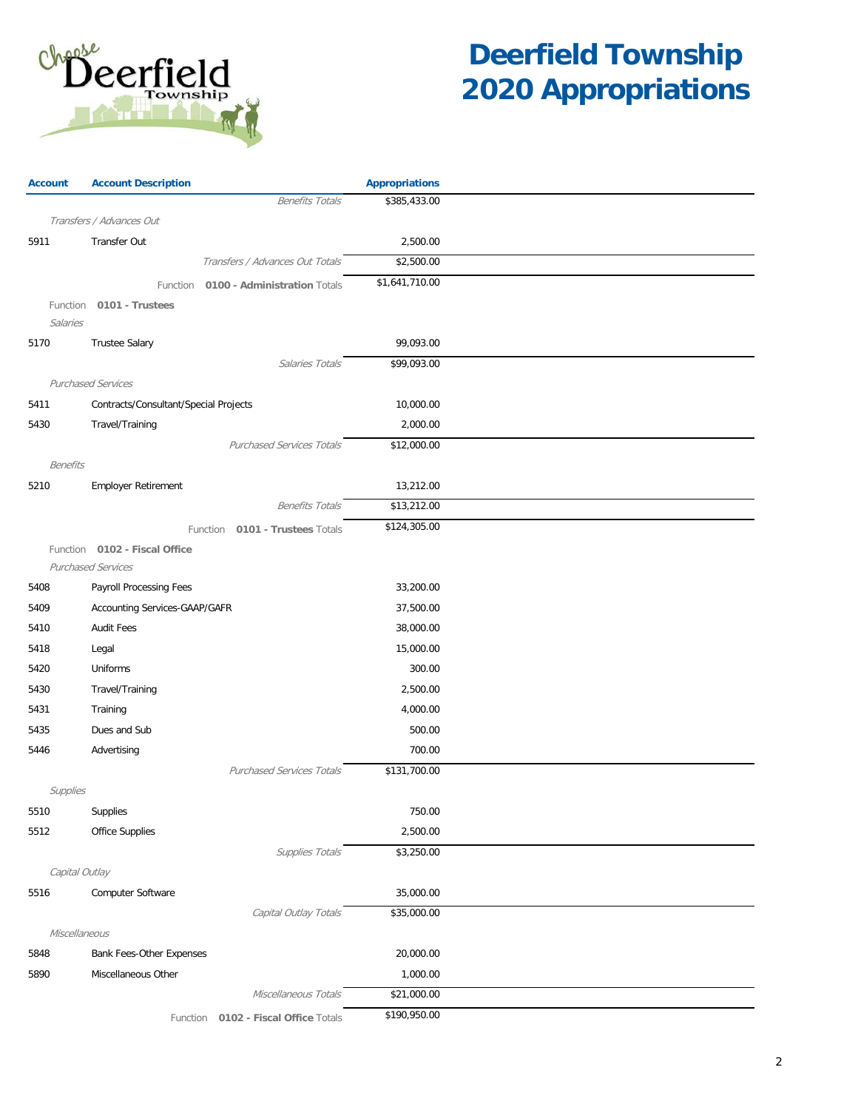

| <b>Account</b>  | <b>Account Description</b>            |                                      | <b>Appropriations</b> |  |
|-----------------|---------------------------------------|--------------------------------------|-----------------------|--|
|                 |                                       | <b>Benefits Totals</b>               | \$385,433.00          |  |
|                 | Transfers / Advances Out              |                                      |                       |  |
| 5911            | <b>Transfer Out</b>                   |                                      | 2,500.00              |  |
|                 |                                       | Transfers / Advances Out Totals      | \$2,500.00            |  |
|                 | Function                              | 0100 - Administration Totals         | \$1,641,710.00        |  |
|                 | Function 0101 - Trustees              |                                      |                       |  |
| Salaries        |                                       |                                      |                       |  |
| 5170            | <b>Trustee Salary</b>                 |                                      | 99,093.00             |  |
|                 |                                       | Salaries Totals                      | \$99,093.00           |  |
|                 | <b>Purchased Services</b>             |                                      |                       |  |
| 5411            | Contracts/Consultant/Special Projects |                                      | 10,000.00             |  |
| 5430            | Travel/Training                       |                                      | 2,000.00              |  |
|                 |                                       | <b>Purchased Services Totals</b>     | \$12,000.00           |  |
| <b>Benefits</b> |                                       |                                      |                       |  |
| 5210            | Employer Retirement                   |                                      | 13,212.00             |  |
|                 |                                       | <b>Benefits Totals</b>               | \$13,212.00           |  |
|                 |                                       | Function 0101 - Trustees Totals      | \$124,305.00          |  |
|                 | Function 0102 - Fiscal Office         |                                      |                       |  |
|                 | <b>Purchased Services</b>             |                                      |                       |  |
| 5408            | Payroll Processing Fees               |                                      | 33,200.00             |  |
| 5409            | Accounting Services-GAAP/GAFR         |                                      | 37,500.00             |  |
| 5410            | <b>Audit Fees</b>                     |                                      | 38,000.00             |  |
| 5418            | Legal                                 |                                      | 15,000.00             |  |
| 5420            | Uniforms                              |                                      | 300.00                |  |
| 5430            | Travel/Training                       |                                      | 2,500.00              |  |
| 5431            | Training                              |                                      | 4,000.00              |  |
| 5435            | Dues and Sub                          |                                      | 500.00                |  |
| 5446            | Advertising                           |                                      | 700.00                |  |
|                 |                                       | <b>Purchased Services Totals</b>     | \$131,700.00          |  |
| Supplies        |                                       |                                      |                       |  |
| 5510            | Supplies                              |                                      | 750.00                |  |
| 5512            | <b>Office Supplies</b>                |                                      | 2,500.00              |  |
|                 |                                       | Supplies Totals                      | \$3,250.00            |  |
| Capital Outlay  |                                       |                                      |                       |  |
| 5516            | Computer Software                     |                                      | 35,000.00             |  |
|                 |                                       | Capital Outlay Totals                | \$35,000.00           |  |
| Miscellaneous   |                                       |                                      |                       |  |
| 5848            | Bank Fees-Other Expenses              |                                      | 20,000.00             |  |
| 5890            | Miscellaneous Other                   |                                      | 1,000.00              |  |
|                 |                                       | Miscellaneous Totals                 | \$21,000.00           |  |
|                 |                                       | Function 0102 - Fiscal Office Totals | \$190,950.00          |  |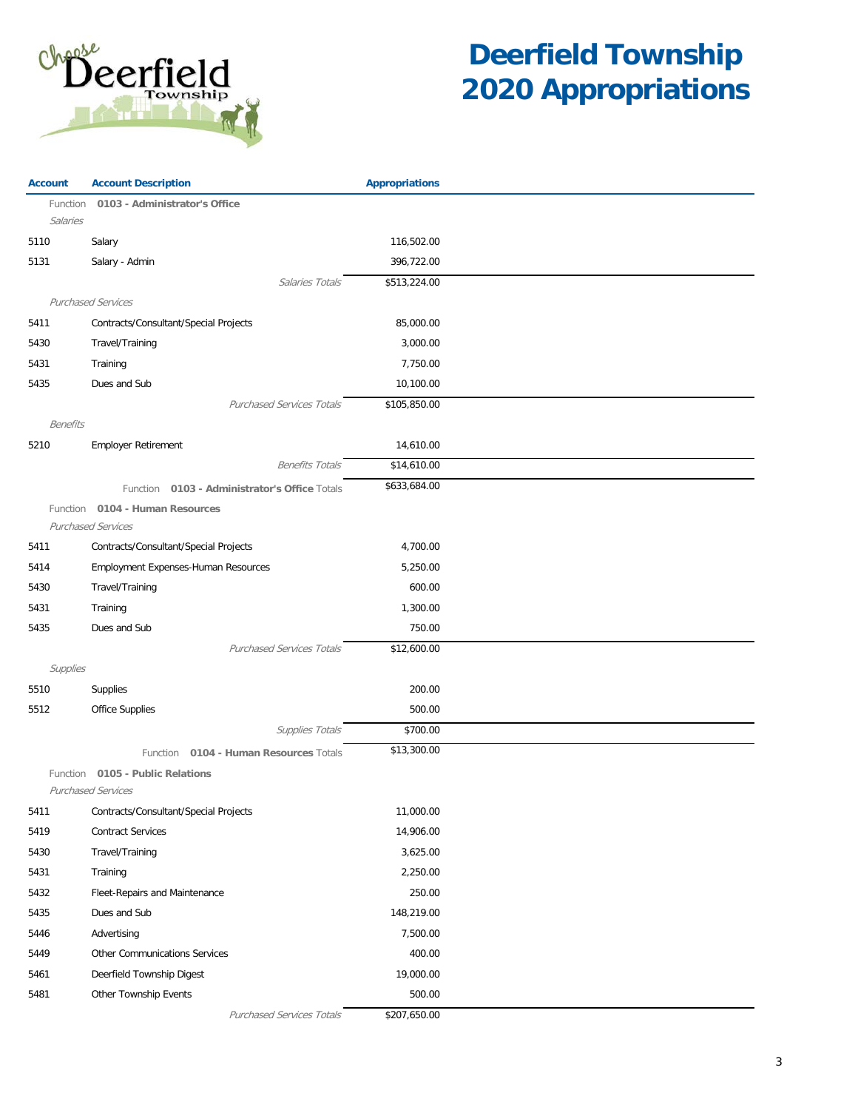

| 0103 - Administrator's Office<br>Function<br>Salaries<br>Salary<br>116,502.00<br>5110<br>5131<br>396,722.00<br>Salary - Admin<br>\$513,224.00<br>Salaries Totals<br><b>Purchased Services</b><br>Contracts/Consultant/Special Projects<br>85,000.00<br>5411<br>5430<br>Travel/Training<br>3,000.00<br>5431<br>Training<br>7,750.00<br>Dues and Sub<br>5435<br>10,100.00<br><b>Purchased Services Totals</b><br>\$105,850.00<br><b>Benefits</b><br>14,610.00<br>5210<br><b>Employer Retirement</b><br>\$14,610.00<br><b>Benefits Totals</b><br>\$633,684.00<br>Function 0103 - Administrator's Office Totals<br>Function 0104 - Human Resources<br><b>Purchased Services</b><br>Contracts/Consultant/Special Projects<br>5411<br>4,700.00<br>Employment Expenses-Human Resources<br>5,250.00<br>5414<br>Travel/Training<br>600.00<br>5430<br>1,300.00<br>5431<br>Training<br>Dues and Sub<br>5435<br>750.00<br><b>Purchased Services Totals</b><br>\$12,600.00<br>Supplies<br>Supplies<br>200.00<br>5510<br>Office Supplies<br>500.00<br>5512<br>Supplies Totals<br>\$700.00<br>\$13,300.00<br>Function 0104 - Human Resources Totals<br>Function 0105 - Public Relations<br><b>Purchased Services</b><br>11,000.00<br>5411<br>Contracts/Consultant/Special Projects<br>5419<br><b>Contract Services</b><br>14,906.00<br>5430<br>Travel/Training<br>3,625.00<br>5431<br>Training<br>2,250.00<br>5432<br>250.00<br>Fleet-Repairs and Maintenance<br>Dues and Sub<br>148,219.00<br>5435<br>7,500.00<br>5446<br>Advertising<br>5449<br>Other Communications Services<br>400.00<br>19,000.00<br>5461<br>Deerfield Township Digest<br>5481<br>Other Township Events<br>500.00 | <b>Account</b> | <b>Account Description</b>       | <b>Appropriations</b> |  |
|-------------------------------------------------------------------------------------------------------------------------------------------------------------------------------------------------------------------------------------------------------------------------------------------------------------------------------------------------------------------------------------------------------------------------------------------------------------------------------------------------------------------------------------------------------------------------------------------------------------------------------------------------------------------------------------------------------------------------------------------------------------------------------------------------------------------------------------------------------------------------------------------------------------------------------------------------------------------------------------------------------------------------------------------------------------------------------------------------------------------------------------------------------------------------------------------------------------------------------------------------------------------------------------------------------------------------------------------------------------------------------------------------------------------------------------------------------------------------------------------------------------------------------------------------------------------------------------------------------------------------------------------------------------------------|----------------|----------------------------------|-----------------------|--|
|                                                                                                                                                                                                                                                                                                                                                                                                                                                                                                                                                                                                                                                                                                                                                                                                                                                                                                                                                                                                                                                                                                                                                                                                                                                                                                                                                                                                                                                                                                                                                                                                                                                                         |                |                                  |                       |  |
|                                                                                                                                                                                                                                                                                                                                                                                                                                                                                                                                                                                                                                                                                                                                                                                                                                                                                                                                                                                                                                                                                                                                                                                                                                                                                                                                                                                                                                                                                                                                                                                                                                                                         |                |                                  |                       |  |
|                                                                                                                                                                                                                                                                                                                                                                                                                                                                                                                                                                                                                                                                                                                                                                                                                                                                                                                                                                                                                                                                                                                                                                                                                                                                                                                                                                                                                                                                                                                                                                                                                                                                         |                |                                  |                       |  |
|                                                                                                                                                                                                                                                                                                                                                                                                                                                                                                                                                                                                                                                                                                                                                                                                                                                                                                                                                                                                                                                                                                                                                                                                                                                                                                                                                                                                                                                                                                                                                                                                                                                                         |                |                                  |                       |  |
|                                                                                                                                                                                                                                                                                                                                                                                                                                                                                                                                                                                                                                                                                                                                                                                                                                                                                                                                                                                                                                                                                                                                                                                                                                                                                                                                                                                                                                                                                                                                                                                                                                                                         |                |                                  |                       |  |
|                                                                                                                                                                                                                                                                                                                                                                                                                                                                                                                                                                                                                                                                                                                                                                                                                                                                                                                                                                                                                                                                                                                                                                                                                                                                                                                                                                                                                                                                                                                                                                                                                                                                         |                |                                  |                       |  |
|                                                                                                                                                                                                                                                                                                                                                                                                                                                                                                                                                                                                                                                                                                                                                                                                                                                                                                                                                                                                                                                                                                                                                                                                                                                                                                                                                                                                                                                                                                                                                                                                                                                                         |                |                                  |                       |  |
|                                                                                                                                                                                                                                                                                                                                                                                                                                                                                                                                                                                                                                                                                                                                                                                                                                                                                                                                                                                                                                                                                                                                                                                                                                                                                                                                                                                                                                                                                                                                                                                                                                                                         |                |                                  |                       |  |
|                                                                                                                                                                                                                                                                                                                                                                                                                                                                                                                                                                                                                                                                                                                                                                                                                                                                                                                                                                                                                                                                                                                                                                                                                                                                                                                                                                                                                                                                                                                                                                                                                                                                         |                |                                  |                       |  |
|                                                                                                                                                                                                                                                                                                                                                                                                                                                                                                                                                                                                                                                                                                                                                                                                                                                                                                                                                                                                                                                                                                                                                                                                                                                                                                                                                                                                                                                                                                                                                                                                                                                                         |                |                                  |                       |  |
|                                                                                                                                                                                                                                                                                                                                                                                                                                                                                                                                                                                                                                                                                                                                                                                                                                                                                                                                                                                                                                                                                                                                                                                                                                                                                                                                                                                                                                                                                                                                                                                                                                                                         |                |                                  |                       |  |
|                                                                                                                                                                                                                                                                                                                                                                                                                                                                                                                                                                                                                                                                                                                                                                                                                                                                                                                                                                                                                                                                                                                                                                                                                                                                                                                                                                                                                                                                                                                                                                                                                                                                         |                |                                  |                       |  |
|                                                                                                                                                                                                                                                                                                                                                                                                                                                                                                                                                                                                                                                                                                                                                                                                                                                                                                                                                                                                                                                                                                                                                                                                                                                                                                                                                                                                                                                                                                                                                                                                                                                                         |                |                                  |                       |  |
|                                                                                                                                                                                                                                                                                                                                                                                                                                                                                                                                                                                                                                                                                                                                                                                                                                                                                                                                                                                                                                                                                                                                                                                                                                                                                                                                                                                                                                                                                                                                                                                                                                                                         |                |                                  |                       |  |
|                                                                                                                                                                                                                                                                                                                                                                                                                                                                                                                                                                                                                                                                                                                                                                                                                                                                                                                                                                                                                                                                                                                                                                                                                                                                                                                                                                                                                                                                                                                                                                                                                                                                         |                |                                  |                       |  |
|                                                                                                                                                                                                                                                                                                                                                                                                                                                                                                                                                                                                                                                                                                                                                                                                                                                                                                                                                                                                                                                                                                                                                                                                                                                                                                                                                                                                                                                                                                                                                                                                                                                                         |                |                                  |                       |  |
|                                                                                                                                                                                                                                                                                                                                                                                                                                                                                                                                                                                                                                                                                                                                                                                                                                                                                                                                                                                                                                                                                                                                                                                                                                                                                                                                                                                                                                                                                                                                                                                                                                                                         |                |                                  |                       |  |
|                                                                                                                                                                                                                                                                                                                                                                                                                                                                                                                                                                                                                                                                                                                                                                                                                                                                                                                                                                                                                                                                                                                                                                                                                                                                                                                                                                                                                                                                                                                                                                                                                                                                         |                |                                  |                       |  |
|                                                                                                                                                                                                                                                                                                                                                                                                                                                                                                                                                                                                                                                                                                                                                                                                                                                                                                                                                                                                                                                                                                                                                                                                                                                                                                                                                                                                                                                                                                                                                                                                                                                                         |                |                                  |                       |  |
|                                                                                                                                                                                                                                                                                                                                                                                                                                                                                                                                                                                                                                                                                                                                                                                                                                                                                                                                                                                                                                                                                                                                                                                                                                                                                                                                                                                                                                                                                                                                                                                                                                                                         |                |                                  |                       |  |
|                                                                                                                                                                                                                                                                                                                                                                                                                                                                                                                                                                                                                                                                                                                                                                                                                                                                                                                                                                                                                                                                                                                                                                                                                                                                                                                                                                                                                                                                                                                                                                                                                                                                         |                |                                  |                       |  |
|                                                                                                                                                                                                                                                                                                                                                                                                                                                                                                                                                                                                                                                                                                                                                                                                                                                                                                                                                                                                                                                                                                                                                                                                                                                                                                                                                                                                                                                                                                                                                                                                                                                                         |                |                                  |                       |  |
|                                                                                                                                                                                                                                                                                                                                                                                                                                                                                                                                                                                                                                                                                                                                                                                                                                                                                                                                                                                                                                                                                                                                                                                                                                                                                                                                                                                                                                                                                                                                                                                                                                                                         |                |                                  |                       |  |
|                                                                                                                                                                                                                                                                                                                                                                                                                                                                                                                                                                                                                                                                                                                                                                                                                                                                                                                                                                                                                                                                                                                                                                                                                                                                                                                                                                                                                                                                                                                                                                                                                                                                         |                |                                  |                       |  |
|                                                                                                                                                                                                                                                                                                                                                                                                                                                                                                                                                                                                                                                                                                                                                                                                                                                                                                                                                                                                                                                                                                                                                                                                                                                                                                                                                                                                                                                                                                                                                                                                                                                                         |                |                                  |                       |  |
|                                                                                                                                                                                                                                                                                                                                                                                                                                                                                                                                                                                                                                                                                                                                                                                                                                                                                                                                                                                                                                                                                                                                                                                                                                                                                                                                                                                                                                                                                                                                                                                                                                                                         |                |                                  |                       |  |
|                                                                                                                                                                                                                                                                                                                                                                                                                                                                                                                                                                                                                                                                                                                                                                                                                                                                                                                                                                                                                                                                                                                                                                                                                                                                                                                                                                                                                                                                                                                                                                                                                                                                         |                |                                  |                       |  |
|                                                                                                                                                                                                                                                                                                                                                                                                                                                                                                                                                                                                                                                                                                                                                                                                                                                                                                                                                                                                                                                                                                                                                                                                                                                                                                                                                                                                                                                                                                                                                                                                                                                                         |                |                                  |                       |  |
|                                                                                                                                                                                                                                                                                                                                                                                                                                                                                                                                                                                                                                                                                                                                                                                                                                                                                                                                                                                                                                                                                                                                                                                                                                                                                                                                                                                                                                                                                                                                                                                                                                                                         |                |                                  |                       |  |
|                                                                                                                                                                                                                                                                                                                                                                                                                                                                                                                                                                                                                                                                                                                                                                                                                                                                                                                                                                                                                                                                                                                                                                                                                                                                                                                                                                                                                                                                                                                                                                                                                                                                         |                |                                  |                       |  |
|                                                                                                                                                                                                                                                                                                                                                                                                                                                                                                                                                                                                                                                                                                                                                                                                                                                                                                                                                                                                                                                                                                                                                                                                                                                                                                                                                                                                                                                                                                                                                                                                                                                                         |                |                                  |                       |  |
|                                                                                                                                                                                                                                                                                                                                                                                                                                                                                                                                                                                                                                                                                                                                                                                                                                                                                                                                                                                                                                                                                                                                                                                                                                                                                                                                                                                                                                                                                                                                                                                                                                                                         |                |                                  |                       |  |
|                                                                                                                                                                                                                                                                                                                                                                                                                                                                                                                                                                                                                                                                                                                                                                                                                                                                                                                                                                                                                                                                                                                                                                                                                                                                                                                                                                                                                                                                                                                                                                                                                                                                         |                |                                  |                       |  |
|                                                                                                                                                                                                                                                                                                                                                                                                                                                                                                                                                                                                                                                                                                                                                                                                                                                                                                                                                                                                                                                                                                                                                                                                                                                                                                                                                                                                                                                                                                                                                                                                                                                                         |                |                                  |                       |  |
|                                                                                                                                                                                                                                                                                                                                                                                                                                                                                                                                                                                                                                                                                                                                                                                                                                                                                                                                                                                                                                                                                                                                                                                                                                                                                                                                                                                                                                                                                                                                                                                                                                                                         |                |                                  |                       |  |
|                                                                                                                                                                                                                                                                                                                                                                                                                                                                                                                                                                                                                                                                                                                                                                                                                                                                                                                                                                                                                                                                                                                                                                                                                                                                                                                                                                                                                                                                                                                                                                                                                                                                         |                |                                  |                       |  |
|                                                                                                                                                                                                                                                                                                                                                                                                                                                                                                                                                                                                                                                                                                                                                                                                                                                                                                                                                                                                                                                                                                                                                                                                                                                                                                                                                                                                                                                                                                                                                                                                                                                                         |                |                                  |                       |  |
|                                                                                                                                                                                                                                                                                                                                                                                                                                                                                                                                                                                                                                                                                                                                                                                                                                                                                                                                                                                                                                                                                                                                                                                                                                                                                                                                                                                                                                                                                                                                                                                                                                                                         |                |                                  |                       |  |
|                                                                                                                                                                                                                                                                                                                                                                                                                                                                                                                                                                                                                                                                                                                                                                                                                                                                                                                                                                                                                                                                                                                                                                                                                                                                                                                                                                                                                                                                                                                                                                                                                                                                         |                |                                  |                       |  |
|                                                                                                                                                                                                                                                                                                                                                                                                                                                                                                                                                                                                                                                                                                                                                                                                                                                                                                                                                                                                                                                                                                                                                                                                                                                                                                                                                                                                                                                                                                                                                                                                                                                                         |                |                                  |                       |  |
|                                                                                                                                                                                                                                                                                                                                                                                                                                                                                                                                                                                                                                                                                                                                                                                                                                                                                                                                                                                                                                                                                                                                                                                                                                                                                                                                                                                                                                                                                                                                                                                                                                                                         |                | <b>Purchased Services Totals</b> | \$207,650.00          |  |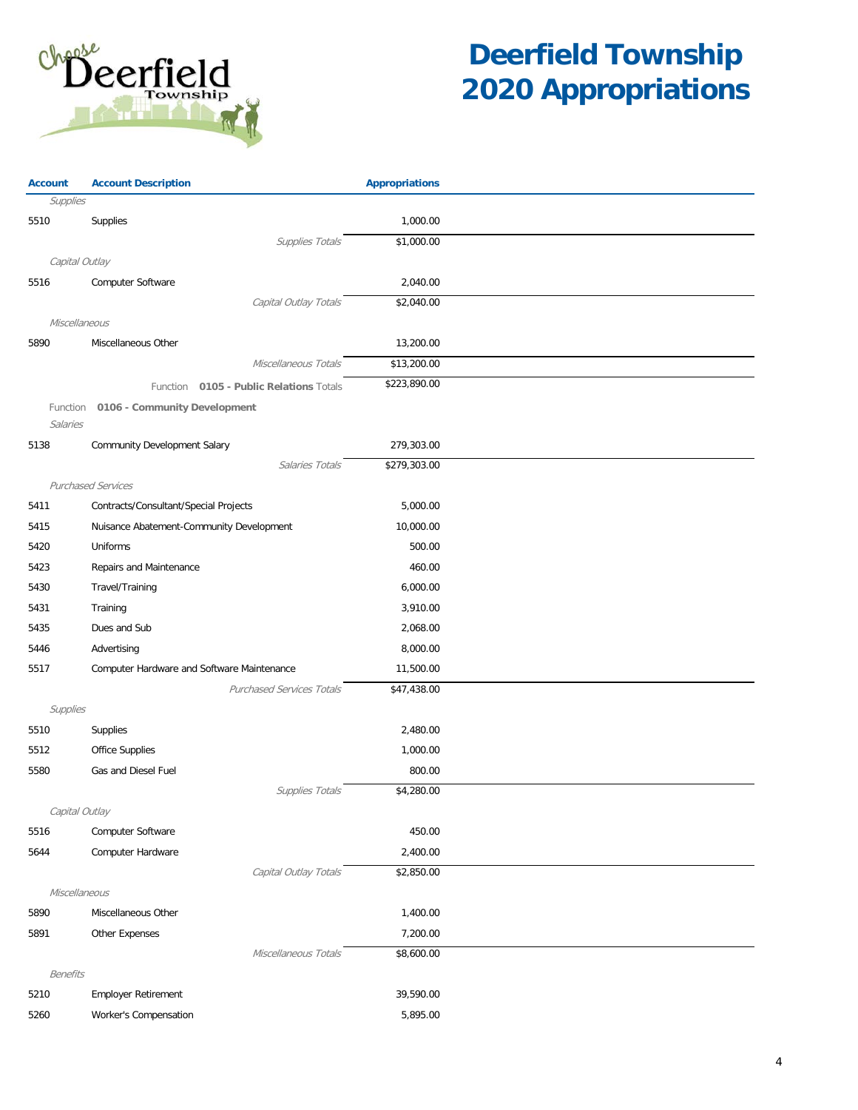

| <b>Account</b>       | <b>Account Description</b>                 | <b>Appropriations</b> |  |
|----------------------|--------------------------------------------|-----------------------|--|
| Supplies             |                                            |                       |  |
| 5510                 | Supplies                                   | 1,000.00              |  |
|                      | <b>Supplies Totals</b>                     | \$1,000.00            |  |
|                      | Capital Outlay                             |                       |  |
| 5516                 | Computer Software                          | 2,040.00              |  |
|                      | Capital Outlay Totals                      | \$2,040.00            |  |
| Miscellaneous        |                                            |                       |  |
| 5890                 | Miscellaneous Other                        | 13,200.00             |  |
|                      | Miscellaneous Totals                       | \$13,200.00           |  |
|                      | Function 0105 - Public Relations Totals    | \$223,890.00          |  |
| Function<br>Salaries | 0106 - Community Development               |                       |  |
| 5138                 | Community Development Salary               | 279,303.00            |  |
|                      | Salaries Totals                            | \$279,303.00          |  |
|                      | <b>Purchased Services</b>                  |                       |  |
| 5411                 | Contracts/Consultant/Special Projects      | 5,000.00              |  |
| 5415                 | Nuisance Abatement-Community Development   | 10,000.00             |  |
| 5420                 | Uniforms                                   | 500.00                |  |
| 5423                 | Repairs and Maintenance                    | 460.00                |  |
| 5430                 | Travel/Training                            | 6,000.00              |  |
| 5431                 | Training                                   | 3,910.00              |  |
| 5435                 | Dues and Sub                               | 2,068.00              |  |
| 5446                 | Advertising                                | 8,000.00              |  |
| 5517                 | Computer Hardware and Software Maintenance | 11,500.00             |  |
|                      | <b>Purchased Services Totals</b>           | \$47,438.00           |  |
| Supplies             |                                            |                       |  |
| 5510                 | Supplies                                   | 2,480.00              |  |
| 5512                 | Office Supplies                            | 1,000.00              |  |
| 5580                 | Gas and Diesel Fuel                        | 800.00                |  |
|                      | Supplies Totals                            | \$4,280.00            |  |
|                      | Capital Outlay                             |                       |  |
| 5516                 | Computer Software                          | 450.00                |  |
| 5644                 | Computer Hardware                          | 2,400.00              |  |
|                      | Capital Outlay Totals                      | \$2,850.00            |  |
| Miscellaneous        |                                            |                       |  |
| 5890                 | Miscellaneous Other                        | 1,400.00              |  |
| 5891                 | Other Expenses                             | 7,200.00              |  |
|                      | Miscellaneous Totals                       | \$8,600.00            |  |
| <b>Benefits</b>      |                                            |                       |  |
| 5210                 | <b>Employer Retirement</b>                 | 39,590.00             |  |
| 5260                 | Worker's Compensation                      | 5,895.00              |  |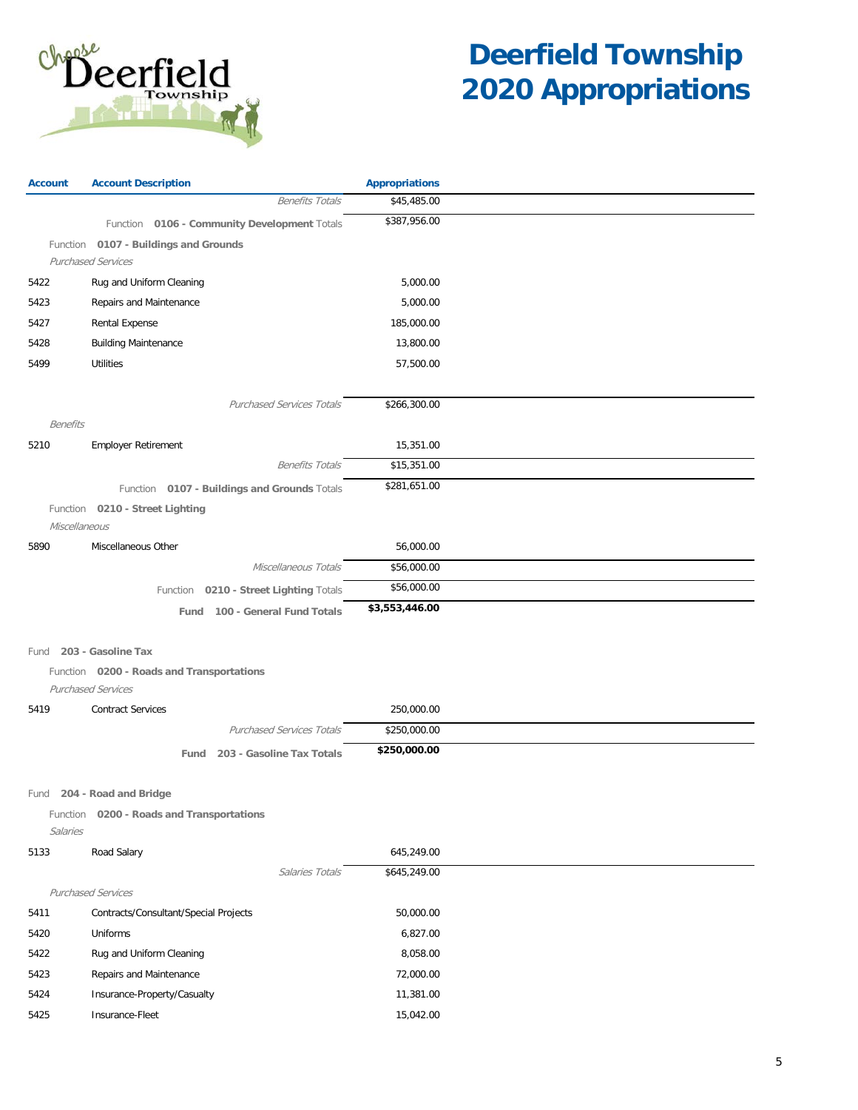

| <b>Account</b>  | <b>Account Description</b>                   | <b>Appropriations</b> |  |
|-----------------|----------------------------------------------|-----------------------|--|
|                 | <b>Benefits Totals</b>                       | \$45,485.00           |  |
|                 | Function 0106 - Community Development Totals | \$387,956.00          |  |
|                 | Function 0107 - Buildings and Grounds        |                       |  |
|                 | <b>Purchased Services</b>                    |                       |  |
| 5422            | Rug and Uniform Cleaning                     | 5,000.00              |  |
| 5423            | Repairs and Maintenance                      | 5,000.00              |  |
| 5427            | Rental Expense                               | 185,000.00            |  |
| 5428            | <b>Building Maintenance</b>                  | 13,800.00             |  |
| 5499            | Utilities                                    | 57,500.00             |  |
|                 |                                              |                       |  |
|                 | <b>Purchased Services Totals</b>             | \$266,300.00          |  |
| <b>Benefits</b> |                                              |                       |  |
| 5210            | <b>Employer Retirement</b>                   | 15,351.00             |  |
|                 | <b>Benefits Totals</b>                       | \$15,351.00           |  |
|                 | Function 0107 - Buildings and Grounds Totals | \$281,651.00          |  |
|                 | Function 0210 - Street Lighting              |                       |  |
|                 | Miscellaneous                                |                       |  |
| 5890            | Miscellaneous Other                          | 56,000.00             |  |
|                 | Miscellaneous Totals                         | \$56,000.00           |  |
|                 | Function 0210 - Street Lighting Totals       | \$56,000.00           |  |
|                 | Fund 100 - General Fund Totals               | \$3,553,446.00        |  |
|                 |                                              |                       |  |
| Fund            | 203 - Gasoline Tax                           |                       |  |
|                 | Function 0200 - Roads and Transportations    |                       |  |
|                 | Purchased Services                           |                       |  |
| 5419            | <b>Contract Services</b>                     | 250,000.00            |  |
|                 | <b>Purchased Services Totals</b>             | \$250,000.00          |  |
|                 | 203 - Gasoline Tax Totals<br>Fund            | \$250,000.00          |  |
|                 |                                              |                       |  |
| Fund            | 204 - Road and Bridge                        |                       |  |
| Function        | 0200 - Roads and Transportations             |                       |  |
| Salaries        |                                              |                       |  |
| 5133            | Road Salary                                  | 645,249.00            |  |
|                 | Salaries Totals                              | \$645,249.00          |  |
|                 | <b>Purchased Services</b>                    |                       |  |
| 5411            | Contracts/Consultant/Special Projects        | 50,000.00             |  |
| 5420            | Uniforms                                     | 6,827.00              |  |
| 5422            | Rug and Uniform Cleaning                     | 8,058.00              |  |
| 5423            | Repairs and Maintenance                      | 72,000.00             |  |
| 5424            | Insurance-Property/Casualty                  | 11,381.00             |  |
| 5425            | Insurance-Fleet                              | 15,042.00             |  |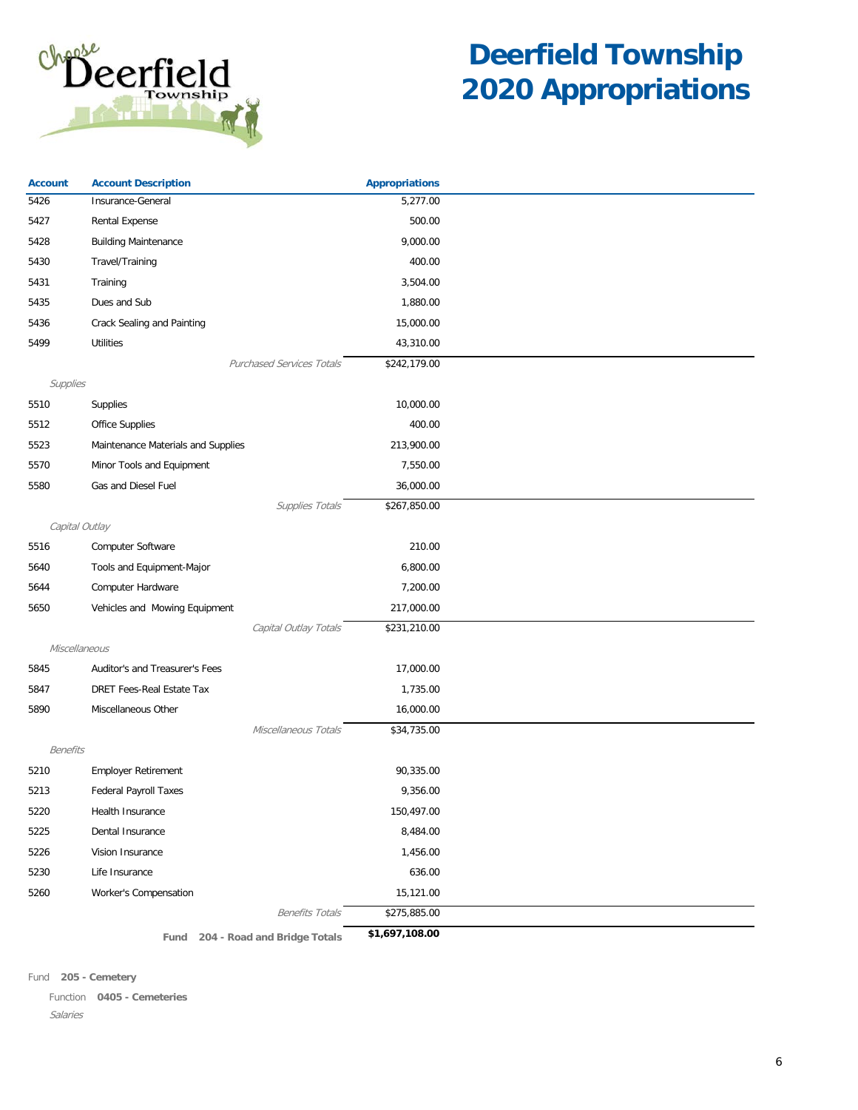

| <b>Account</b>  | <b>Account Description</b>         | <b>Appropriations</b> |  |
|-----------------|------------------------------------|-----------------------|--|
| 5426            | Insurance-General                  | 5,277.00              |  |
| 5427            | Rental Expense                     | 500.00                |  |
| 5428            | <b>Building Maintenance</b>        | 9,000.00              |  |
| 5430            | Travel/Training                    | 400.00                |  |
| 5431            | Training                           | 3,504.00              |  |
| 5435            | Dues and Sub                       | 1,880.00              |  |
| 5436            | Crack Sealing and Painting         | 15,000.00             |  |
| 5499            | <b>Utilities</b>                   | 43,310.00             |  |
|                 | <b>Purchased Services Totals</b>   | \$242,179.00          |  |
| Supplies        |                                    |                       |  |
| 5510            | Supplies                           | 10,000.00             |  |
| 5512            | Office Supplies                    | 400.00                |  |
| 5523            | Maintenance Materials and Supplies | 213,900.00            |  |
| 5570            | Minor Tools and Equipment          | 7,550.00              |  |
| 5580            | Gas and Diesel Fuel                | 36,000.00             |  |
|                 | Supplies Totals                    | \$267,850.00          |  |
| Capital Outlay  |                                    |                       |  |
| 5516            | Computer Software                  | 210.00                |  |
| 5640            | Tools and Equipment-Major          | 6,800.00              |  |
| 5644            | Computer Hardware                  | 7,200.00              |  |
| 5650            | Vehicles and Mowing Equipment      | 217,000.00            |  |
|                 | Capital Outlay Totals              | \$231,210.00          |  |
| Miscellaneous   |                                    |                       |  |
| 5845            | Auditor's and Treasurer's Fees     | 17,000.00             |  |
| 5847            | DRET Fees-Real Estate Tax          | 1,735.00              |  |
| 5890            | Miscellaneous Other                | 16,000.00             |  |
|                 | Miscellaneous Totals               | \$34,735.00           |  |
| <b>Benefits</b> |                                    |                       |  |
| 5210            | <b>Employer Retirement</b>         | 90,335.00             |  |
| 5213            | Federal Payroll Taxes              | 9,356.00              |  |
| 5220            | Health Insurance                   | 150,497.00            |  |
| 5225            | Dental Insurance                   | 8,484.00              |  |
| 5226            | Vision Insurance                   | 1,456.00              |  |
| 5230            | Life Insurance                     | 636.00                |  |
| 5260            | Worker's Compensation              | 15,121.00             |  |
|                 | <b>Benefits Totals</b>             | \$275,885.00          |  |
|                 | Fund 204 - Road and Bridge Totals  | \$1,697,108.00        |  |

Fund **205 - Cemetery**

Salaries Function **0405 - Cemeteries**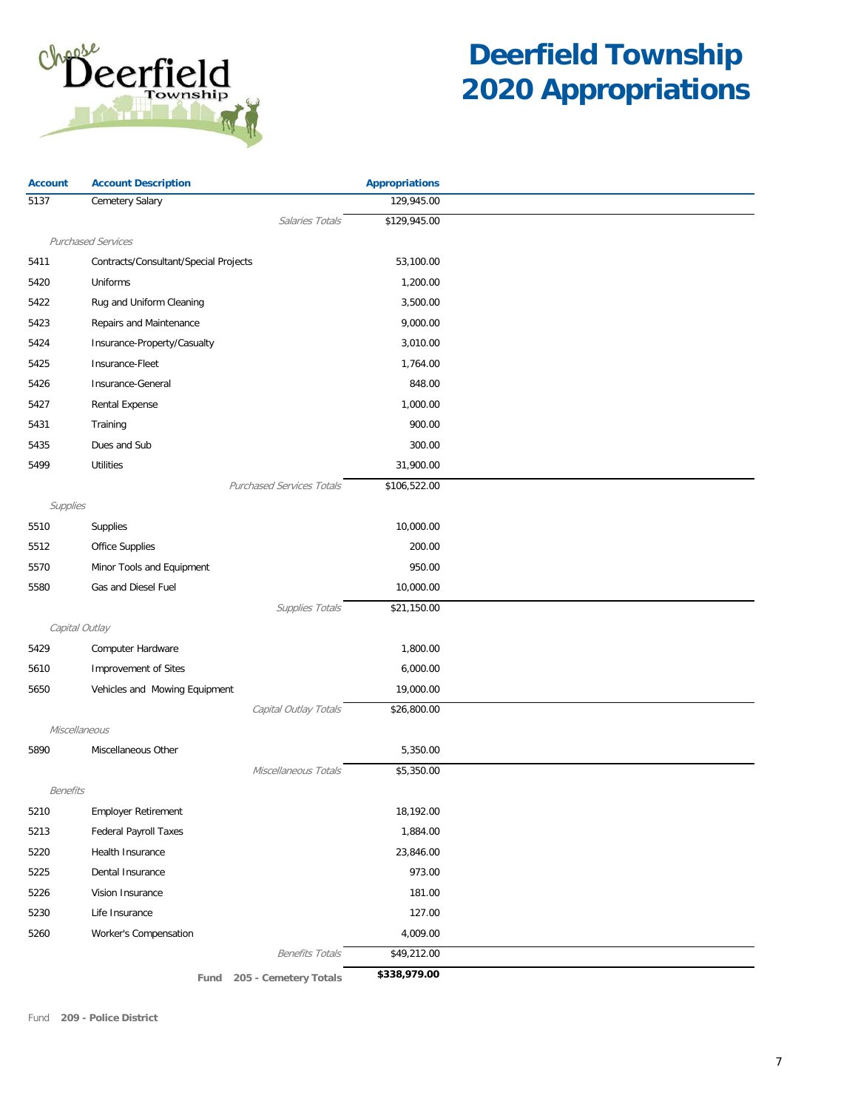

| <b>Account</b> | <b>Account Description</b>            | <b>Appropriations</b> |  |
|----------------|---------------------------------------|-----------------------|--|
| 5137           | Cemetery Salary                       | 129,945.00            |  |
|                | Salaries Totals                       | \$129,945.00          |  |
|                | <b>Purchased Services</b>             |                       |  |
| 5411           | Contracts/Consultant/Special Projects | 53,100.00             |  |
| 5420           | Uniforms                              | 1,200.00              |  |
| 5422           | Rug and Uniform Cleaning              | 3,500.00              |  |
| 5423           | Repairs and Maintenance               | 9,000.00              |  |
| 5424           | Insurance-Property/Casualty           | 3,010.00              |  |
| 5425           | Insurance-Fleet                       | 1,764.00              |  |
| 5426           | Insurance-General                     | 848.00                |  |
| 5427           | Rental Expense                        | 1,000.00              |  |
| 5431           | Training                              | 900.00                |  |
| 5435           | Dues and Sub                          | 300.00                |  |
| 5499           | <b>Utilities</b>                      | 31,900.00             |  |
|                | <b>Purchased Services Totals</b>      | \$106,522.00          |  |
| Supplies       |                                       |                       |  |
| 5510           | Supplies                              | 10,000.00             |  |
| 5512           | <b>Office Supplies</b>                | 200.00                |  |
| 5570           | Minor Tools and Equipment             | 950.00                |  |
| 5580           | Gas and Diesel Fuel                   | 10,000.00             |  |
|                | Supplies Totals                       | \$21,150.00           |  |
|                | Capital Outlay                        |                       |  |
| 5429           | Computer Hardware                     | 1,800.00              |  |
| 5610           | Improvement of Sites                  | 6,000.00              |  |
| 5650           | Vehicles and Mowing Equipment         | 19,000.00             |  |
|                | Capital Outlay Totals                 | \$26,800.00           |  |
|                | Miscellaneous                         |                       |  |
| 5890           | Miscellaneous Other                   | 5,350.00              |  |
|                | Miscellaneous Totals                  | \$5,350.00            |  |
| Benefits       |                                       |                       |  |
| 5210           | Employer Retirement                   | 18,192.00             |  |
| 5213           | <b>Federal Payroll Taxes</b>          | 1,884.00              |  |
| 5220           | Health Insurance                      | 23,846.00             |  |
| 5225           | Dental Insurance                      | 973.00                |  |
| 5226           | Vision Insurance                      | 181.00                |  |
| 5230           | Life Insurance                        | 127.00                |  |
| 5260           | Worker's Compensation                 | 4,009.00              |  |
|                | <b>Benefits Totals</b>                | \$49,212.00           |  |
|                | 205 - Cemetery Totals<br>Fund         | \$338,979.00          |  |

Fund **209 - Police District**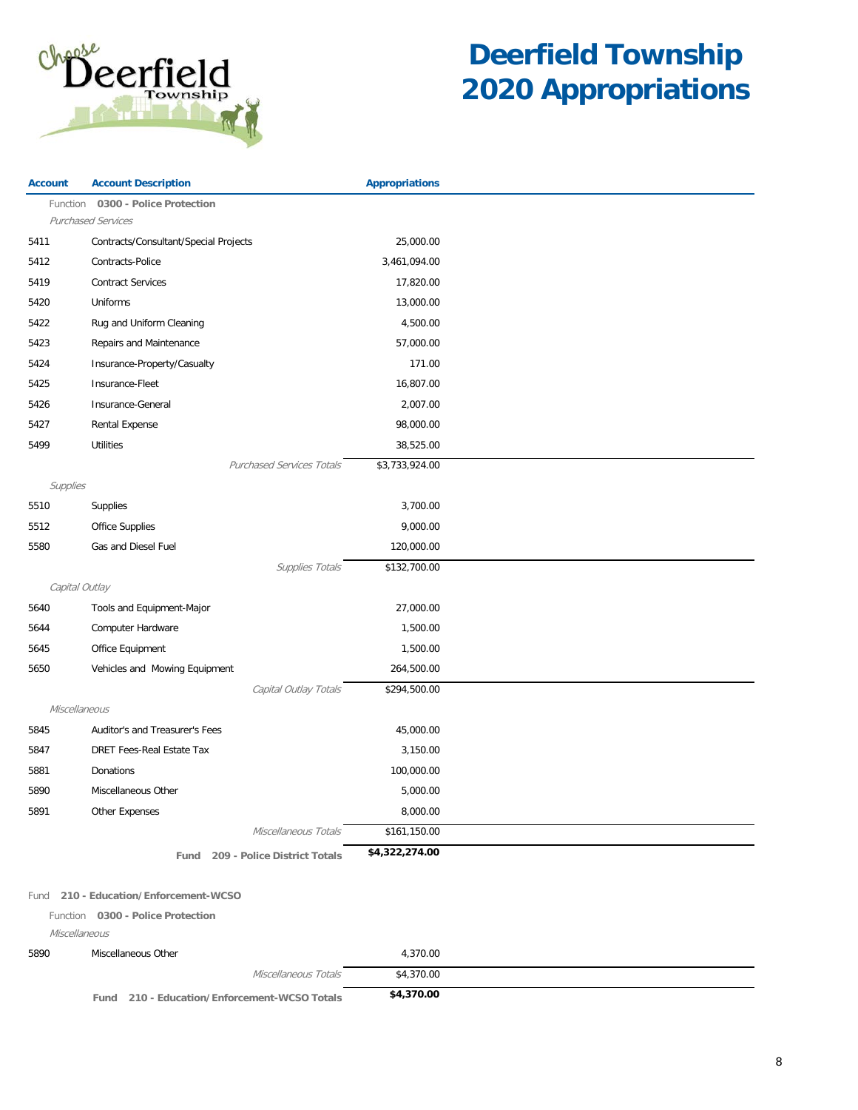

| <b>Account</b> | <b>Account Description</b>            | <b>Appropriations</b> |  |
|----------------|---------------------------------------|-----------------------|--|
| Function       | 0300 - Police Protection              |                       |  |
|                | <b>Purchased Services</b>             |                       |  |
| 5411           | Contracts/Consultant/Special Projects | 25,000.00             |  |
| 5412           | Contracts-Police                      | 3,461,094.00          |  |
| 5419           | <b>Contract Services</b>              | 17,820.00             |  |
| 5420           | Uniforms                              | 13,000.00             |  |
| 5422           | Rug and Uniform Cleaning              | 4,500.00              |  |
| 5423           | Repairs and Maintenance               | 57,000.00             |  |
| 5424           | Insurance-Property/Casualty           | 171.00                |  |
| 5425           | Insurance-Fleet                       | 16,807.00             |  |
| 5426           | Insurance-General                     | 2,007.00              |  |
| 5427           | <b>Rental Expense</b>                 | 98,000.00             |  |
| 5499           | <b>Utilities</b>                      | 38,525.00             |  |
|                | <b>Purchased Services Totals</b>      | \$3,733,924.00        |  |
| Supplies       |                                       |                       |  |
| 5510           | Supplies                              | 3,700.00              |  |
| 5512           | <b>Office Supplies</b>                | 9,000.00              |  |
| 5580           | Gas and Diesel Fuel                   | 120,000.00            |  |
|                | Supplies Totals                       | \$132,700.00          |  |
| Capital Outlay |                                       |                       |  |
| 5640           | Tools and Equipment-Major             | 27,000.00             |  |
| 5644           | Computer Hardware                     | 1,500.00              |  |
| 5645           | Office Equipment                      | 1,500.00              |  |
| 5650           | Vehicles and Mowing Equipment         | 264,500.00            |  |
|                | Capital Outlay Totals                 | \$294,500.00          |  |
| Miscellaneous  |                                       |                       |  |
| 5845           | Auditor's and Treasurer's Fees        | 45,000.00             |  |
| 5847           | <b>DRET Fees-Real Estate Tax</b>      | 3,150.00              |  |
| 5881           | Donations                             | 100,000.00            |  |
| 5890           | Miscellaneous Other                   | 5,000.00              |  |
| 5891           | Other Expenses                        | 8,000.00              |  |
|                | Miscellaneous Totals                  | \$161,150.00          |  |
|                | Fund 209 - Police District Totals     | \$4,322,274.00        |  |
|                |                                       |                       |  |

#### Fund **210 - Education/Enforcement-WCSO**

Function **0300 - Police Protection**

Miscellaneous

| 5890 | Miscellaneous Other                             | 4.370.00   |  |
|------|-------------------------------------------------|------------|--|
|      | Miscellaneous Totals                            | \$4,370.00 |  |
|      | 210 - Education/Enforcement-WCSO Totals<br>Fund | \$4,370.00 |  |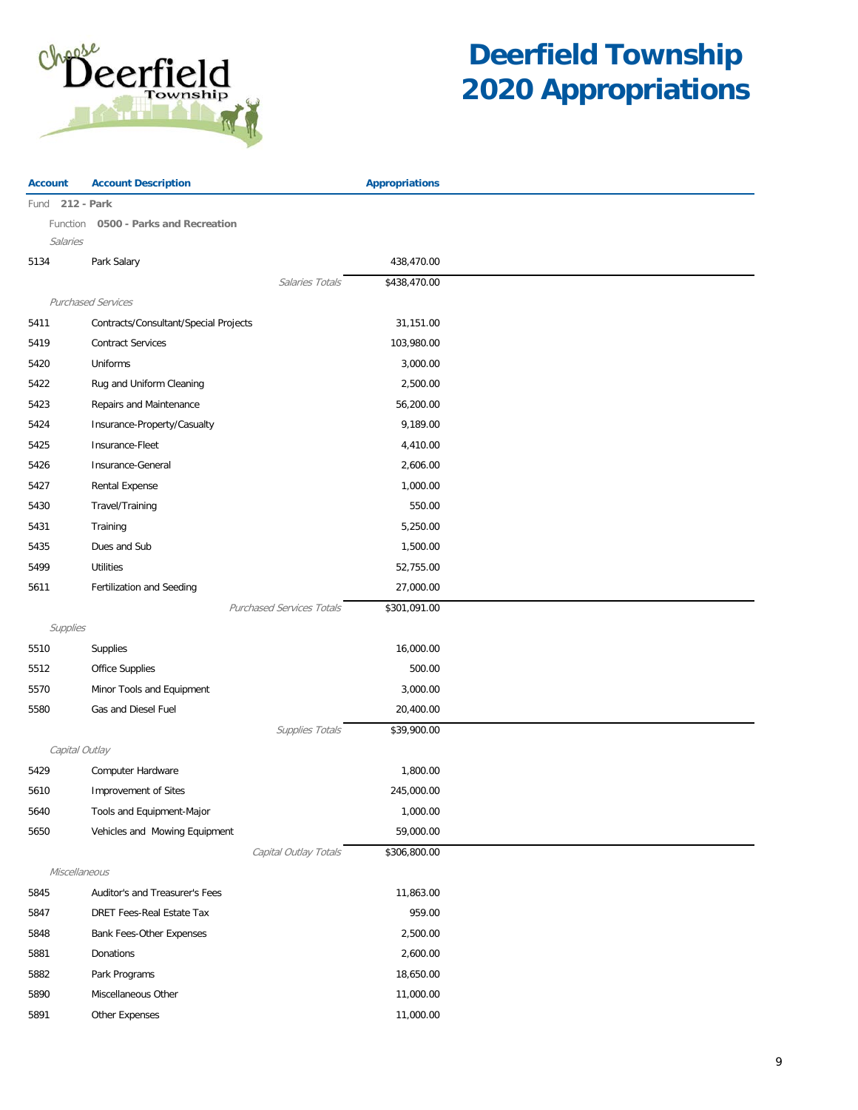

| <b>Account</b>  | <b>Account Description</b>            | <b>Appropriations</b> |  |
|-----------------|---------------------------------------|-----------------------|--|
| Fund 212 - Park |                                       |                       |  |
|                 | Function 0500 - Parks and Recreation  |                       |  |
| Salaries        |                                       |                       |  |
| 5134            | Park Salary                           | 438,470.00            |  |
|                 | Salaries Totals                       | \$438,470.00          |  |
|                 | <b>Purchased Services</b>             |                       |  |
| 5411            | Contracts/Consultant/Special Projects | 31,151.00             |  |
| 5419            | <b>Contract Services</b>              | 103,980.00            |  |
| 5420            | Uniforms                              | 3,000.00              |  |
| 5422            | Rug and Uniform Cleaning              | 2,500.00              |  |
| 5423            | Repairs and Maintenance               | 56,200.00             |  |
| 5424            | Insurance-Property/Casualty           | 9,189.00              |  |
| 5425            | Insurance-Fleet                       | 4,410.00              |  |
| 5426            | Insurance-General                     | 2,606.00              |  |
| 5427            | Rental Expense                        | 1,000.00              |  |
| 5430            | Travel/Training                       | 550.00                |  |
| 5431            | Training                              | 5,250.00              |  |
| 5435            | Dues and Sub                          | 1,500.00              |  |
| 5499            | <b>Utilities</b>                      | 52,755.00             |  |
| 5611            | Fertilization and Seeding             | 27,000.00             |  |
|                 | <b>Purchased Services Totals</b>      | \$301,091.00          |  |
| Supplies        |                                       |                       |  |
| 5510            | Supplies                              | 16,000.00             |  |
| 5512            | <b>Office Supplies</b>                | 500.00                |  |
| 5570            | Minor Tools and Equipment             | 3,000.00              |  |
| 5580            | Gas and Diesel Fuel                   | 20,400.00             |  |
|                 | Supplies Totals                       | \$39,900.00           |  |
|                 | Capital Outlay                        |                       |  |
| 5429            | Computer Hardware                     | 1,800.00              |  |
| 5610            | Improvement of Sites                  | 245,000.00            |  |
| 5640            | Tools and Equipment-Major             | 1,000.00              |  |
| 5650            | Vehicles and Mowing Equipment         | 59,000.00             |  |
|                 | Capital Outlay Totals                 | \$306,800.00          |  |
|                 | Miscellaneous                         |                       |  |
| 5845            | Auditor's and Treasurer's Fees        | 11,863.00             |  |
| 5847            | DRET Fees-Real Estate Tax             | 959.00                |  |
| 5848            | Bank Fees-Other Expenses              | 2,500.00              |  |
| 5881            | Donations                             | 2,600.00              |  |
| 5882            | Park Programs                         | 18,650.00             |  |
| 5890            | Miscellaneous Other                   | 11,000.00             |  |
| 5891            | Other Expenses                        | 11,000.00             |  |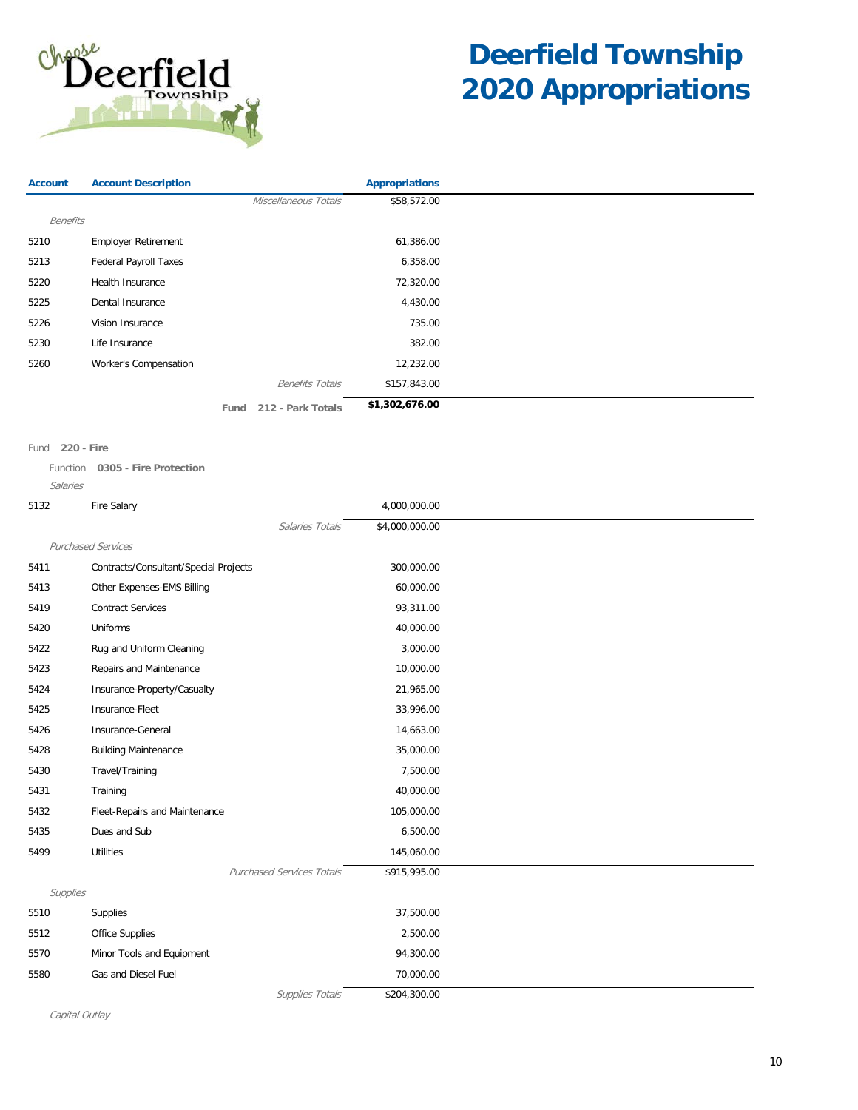

| <b>Account</b>  | <b>Account Description</b>   |      |                        | <b>Appropriations</b> |
|-----------------|------------------------------|------|------------------------|-----------------------|
|                 |                              |      | Miscellaneous Totals   | \$58,572.00           |
| <b>Benefits</b> |                              |      |                        |                       |
| 5210            | <b>Employer Retirement</b>   |      |                        | 61,386.00             |
| 5213            | <b>Federal Payroll Taxes</b> |      |                        | 6,358.00              |
| 5220            | Health Insurance             |      |                        | 72,320.00             |
| 5225            | Dental Insurance             |      |                        | 4,430.00              |
| 5226            | Vision Insurance             |      |                        | 735.00                |
| 5230            | Life Insurance               |      |                        | 382.00                |
| 5260            | Worker's Compensation        |      |                        | 12,232.00             |
|                 |                              |      | <b>Benefits Totals</b> | \$157,843.00          |
|                 |                              | Fund | 212 - Park Totals      | \$1,302,676.00        |

Fund **220 - Fire**

Function **0305 - Fire Protection** Salaries

| 5132     | Fire Salary                           | 4,000,000.00   |
|----------|---------------------------------------|----------------|
|          | Salaries Totals                       | \$4,000,000.00 |
|          | <b>Purchased Services</b>             |                |
| 5411     | Contracts/Consultant/Special Projects | 300,000.00     |
| 5413     | Other Expenses-EMS Billing            | 60,000.00      |
| 5419     | <b>Contract Services</b>              | 93,311.00      |
| 5420     | Uniforms                              | 40,000.00      |
| 5422     | Rug and Uniform Cleaning              | 3,000.00       |
| 5423     | Repairs and Maintenance               | 10,000.00      |
| 5424     | Insurance-Property/Casualty           | 21,965.00      |
| 5425     | Insurance-Fleet                       | 33,996.00      |
| 5426     | Insurance-General                     | 14,663.00      |
| 5428     | <b>Building Maintenance</b>           | 35,000.00      |
| 5430     | Travel/Training                       | 7,500.00       |
| 5431     | Training                              | 40,000.00      |
| 5432     | Fleet-Repairs and Maintenance         | 105,000.00     |
| 5435     | Dues and Sub                          | 6,500.00       |
| 5499     | <b>Utilities</b>                      | 145,060.00     |
|          | <b>Purchased Services Totals</b>      | \$915,995.00   |
| Supplies |                                       |                |
| 5510     | Supplies                              | 37,500.00      |
| 5512     | Office Supplies                       | 2,500.00       |
| 5570     | Minor Tools and Equipment             | 94,300.00      |
| 5580     | Gas and Diesel Fuel                   | 70,000.00      |
|          | Supplies Totals                       | \$204,300.00   |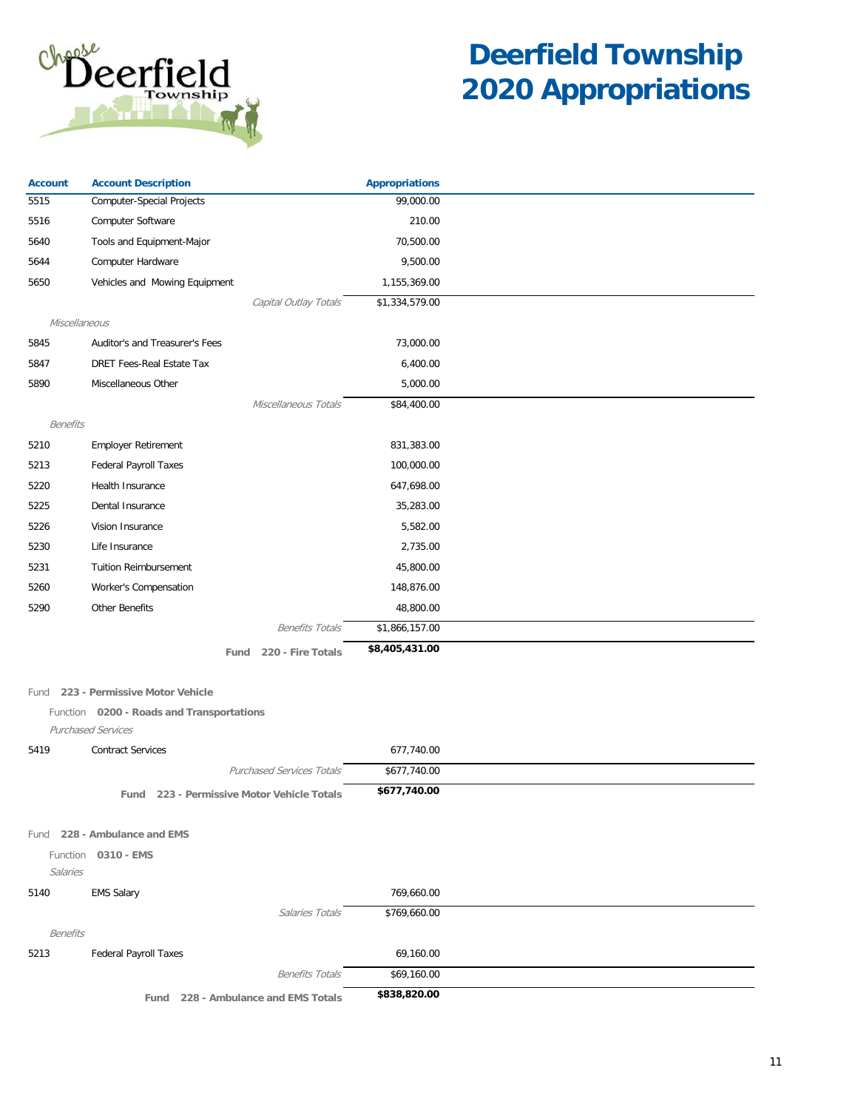

| <b>Account</b>  | <b>Account Description</b>                 | <b>Appropriations</b> |  |
|-----------------|--------------------------------------------|-----------------------|--|
| 5515            | <b>Computer-Special Projects</b>           | 99,000.00             |  |
| 5516            | Computer Software                          | 210.00                |  |
| 5640            | Tools and Equipment-Major                  | 70,500.00             |  |
| 5644            | Computer Hardware                          | 9,500.00              |  |
| 5650            | Vehicles and Mowing Equipment              | 1,155,369.00          |  |
|                 | Capital Outlay Totals                      | \$1,334,579.00        |  |
| Miscellaneous   |                                            |                       |  |
| 5845            | Auditor's and Treasurer's Fees             | 73,000.00             |  |
| 5847            | <b>DRET Fees-Real Estate Tax</b>           | 6,400.00              |  |
| 5890            | Miscellaneous Other                        | 5,000.00              |  |
|                 | Miscellaneous Totals                       | \$84,400.00           |  |
| <b>Benefits</b> |                                            |                       |  |
| 5210            | <b>Employer Retirement</b>                 | 831,383.00            |  |
| 5213            | <b>Federal Payroll Taxes</b>               | 100,000.00            |  |
| 5220            | Health Insurance                           | 647,698.00            |  |
| 5225            | Dental Insurance                           | 35,283.00             |  |
| 5226            | Vision Insurance                           | 5,582.00              |  |
| 5230            | Life Insurance                             | 2,735.00              |  |
| 5231            | <b>Tuition Reimbursement</b>               | 45,800.00             |  |
| 5260            | Worker's Compensation                      | 148,876.00            |  |
| 5290            | <b>Other Benefits</b>                      | 48,800.00             |  |
|                 | <b>Benefits Totals</b>                     | \$1,866,157.00        |  |
|                 | 220 - Fire Totals<br>Fund                  | \$8,405,431.00        |  |
| Fund            | 223 - Permissive Motor Vehicle             |                       |  |
|                 | Function 0200 - Roads and Transportations  |                       |  |
|                 | Purchased Services                         |                       |  |
| 5419            | <b>Contract Services</b>                   | 677,740.00            |  |
|                 | <b>Purchased Services Totals</b>           | \$677,740.00          |  |
|                 | Fund 223 - Permissive Motor Vehicle Totals | \$677,740.00          |  |
|                 | Fund 228 - Ambulance and EMS               |                       |  |
| Function        | 0310 - EMS                                 |                       |  |
| Salaries        |                                            |                       |  |
| 5140            | <b>EMS Salary</b>                          | 769,660.00            |  |
|                 | Salaries Totals                            | \$769,660.00          |  |
| <b>Benefits</b> |                                            |                       |  |
| 5213            | <b>Federal Payroll Taxes</b>               | 69,160.00             |  |
|                 | <b>Benefits Totals</b>                     | \$69,160.00           |  |
|                 | Fund 228 - Ambulance and EMS Totals        | \$838,820.00          |  |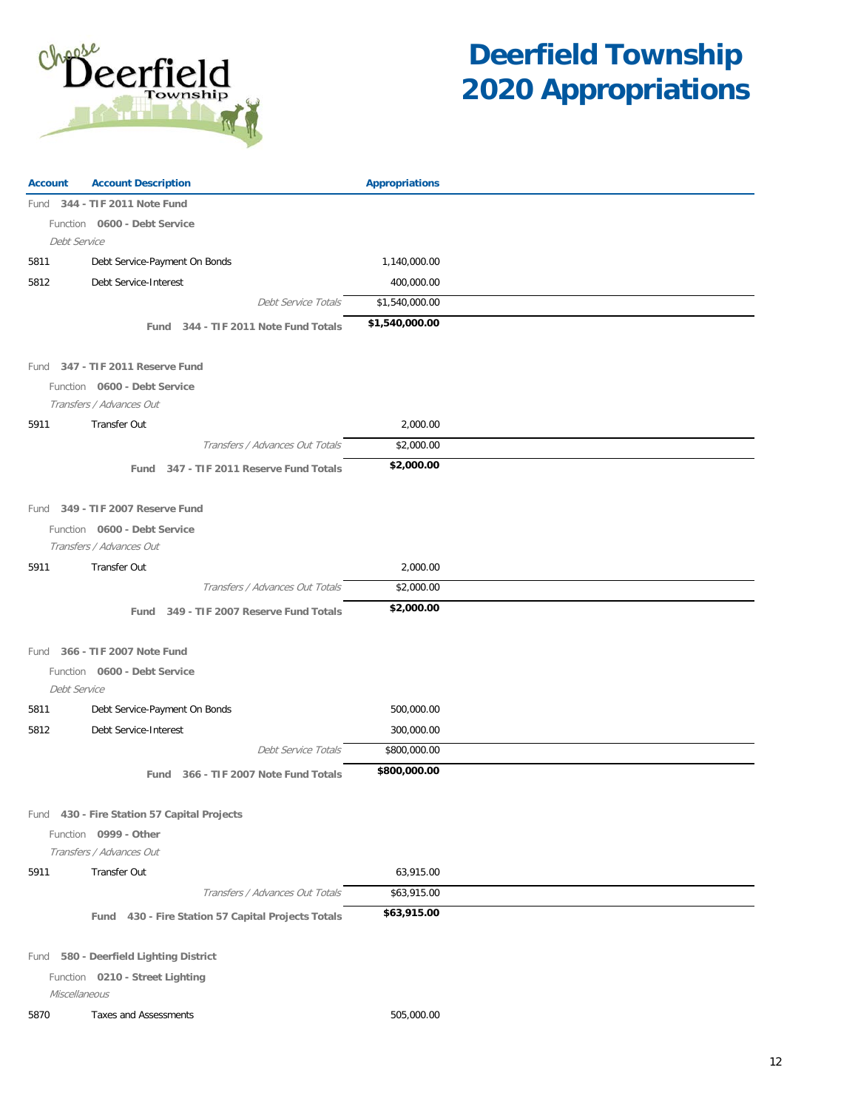

| <b>Account</b>                                   | <b>Account Description</b>                         | <b>Appropriations</b> |  |
|--------------------------------------------------|----------------------------------------------------|-----------------------|--|
|                                                  | Fund 344 - TIF 2011 Note Fund                      |                       |  |
|                                                  | Function 0600 - Debt Service                       |                       |  |
| Debt Service                                     |                                                    |                       |  |
| 5811                                             | Debt Service-Payment On Bonds                      | 1,140,000.00          |  |
| 5812                                             | Debt Service-Interest                              | 400,000.00            |  |
|                                                  | Debt Service Totals                                | \$1,540,000.00        |  |
|                                                  | Fund 344 - TIF 2011 Note Fund Totals               | \$1,540,000.00        |  |
|                                                  |                                                    |                       |  |
|                                                  | Fund 347 - TIF 2011 Reserve Fund                   |                       |  |
|                                                  | Function 0600 - Debt Service                       |                       |  |
|                                                  | Transfers / Advances Out                           |                       |  |
| 5911                                             | Transfer Out                                       | 2,000.00              |  |
|                                                  | Transfers / Advances Out Totals                    | \$2,000.00            |  |
|                                                  | Fund 347 - TIF 2011 Reserve Fund Totals            | \$2,000.00            |  |
|                                                  |                                                    |                       |  |
|                                                  | Fund 349 - TIF 2007 Reserve Fund                   |                       |  |
|                                                  | Function 0600 - Debt Service                       |                       |  |
|                                                  | Transfers / Advances Out                           |                       |  |
| 5911                                             | Transfer Out                                       | 2,000.00              |  |
|                                                  | Transfers / Advances Out Totals                    | \$2,000.00            |  |
|                                                  | Fund 349 - TIF 2007 Reserve Fund Totals            | \$2,000.00            |  |
|                                                  |                                                    |                       |  |
|                                                  | Fund 366 - TIF 2007 Note Fund                      |                       |  |
|                                                  | Function 0600 - Debt Service                       |                       |  |
| Debt Service                                     |                                                    |                       |  |
| 5811                                             | Debt Service-Payment On Bonds                      | 500,000.00            |  |
| 5812                                             | Debt Service-Interest                              | 300,000.00            |  |
|                                                  | Debt Service Totals                                | \$800,000.00          |  |
|                                                  | Fund 366 - TIF 2007 Note Fund Totals               | \$800,000.00          |  |
|                                                  |                                                    |                       |  |
|                                                  | Fund 430 - Fire Station 57 Capital Projects        |                       |  |
|                                                  | Function 0999 - Other                              |                       |  |
|                                                  | Transfers / Advances Out                           |                       |  |
| 5911                                             | Transfer Out                                       | 63,915.00             |  |
|                                                  | Transfers / Advances Out Totals                    | \$63,915.00           |  |
|                                                  | Fund 430 - Fire Station 57 Capital Projects Totals | \$63,915.00           |  |
|                                                  |                                                    |                       |  |
|                                                  | Fund 580 - Deerfield Lighting District             |                       |  |
| Function 0210 - Street Lighting<br>Miscellaneous |                                                    |                       |  |
|                                                  | Taxes and Assessments                              | 505,000.00            |  |
| 5870                                             |                                                    |                       |  |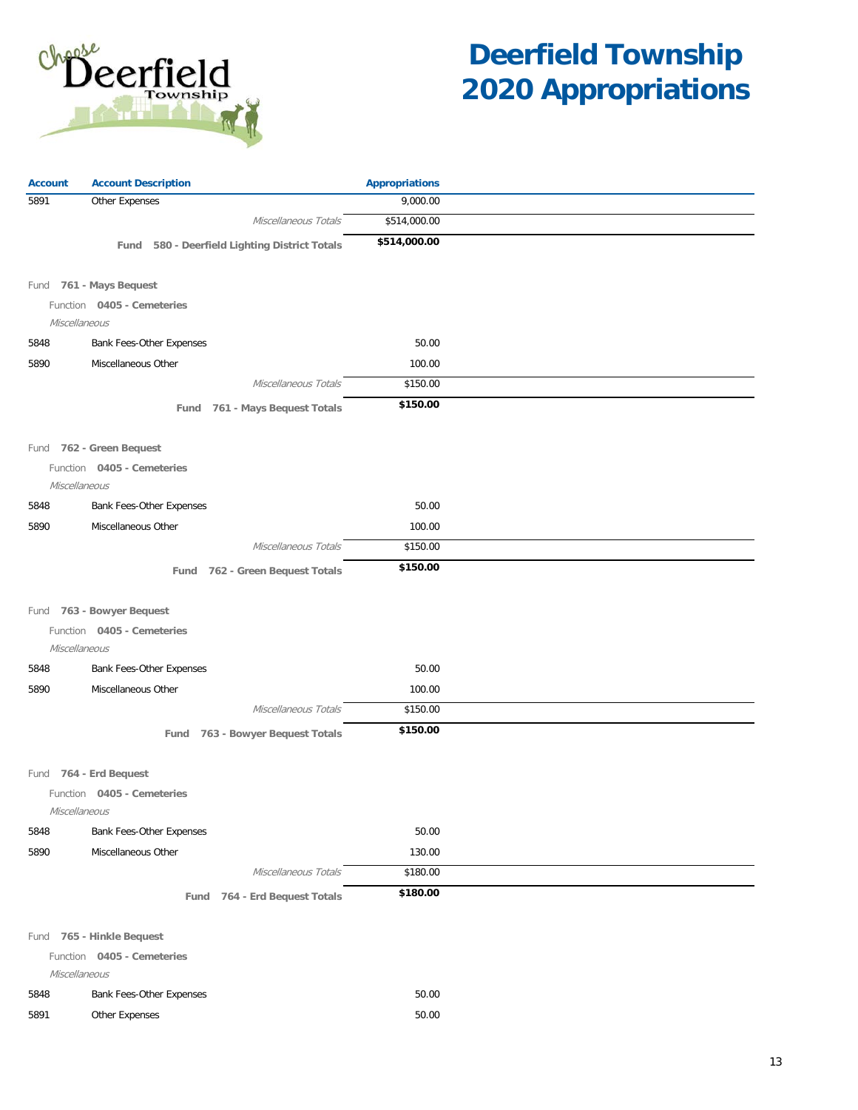

| <b>Account</b> | <b>Account Description</b>                    | <b>Appropriations</b> |  |
|----------------|-----------------------------------------------|-----------------------|--|
| 5891           | Other Expenses                                | 9,000.00              |  |
|                | Miscellaneous Totals                          | \$514,000.00          |  |
|                | Fund 580 - Deerfield Lighting District Totals | \$514,000.00          |  |
|                | Fund 761 - Mays Bequest                       |                       |  |
|                | Function 0405 - Cemeteries                    |                       |  |
| Miscellaneous  |                                               |                       |  |
| 5848           | Bank Fees-Other Expenses                      | 50.00                 |  |
| 5890           | Miscellaneous Other                           | 100.00                |  |
|                | Miscellaneous Totals                          | \$150.00              |  |
|                | Fund 761 - Mays Bequest Totals                | \$150.00              |  |
|                | Fund 762 - Green Bequest                      |                       |  |
|                | Function 0405 - Cemeteries                    |                       |  |
| Miscellaneous  |                                               |                       |  |
| 5848           | Bank Fees-Other Expenses                      | 50.00                 |  |
| 5890           | Miscellaneous Other                           | 100.00                |  |
|                | Miscellaneous Totals                          | \$150.00              |  |
|                | 762 - Green Bequest Totals<br>Fund            | \$150.00              |  |
|                |                                               |                       |  |
|                | Fund 763 - Bowyer Bequest                     |                       |  |
| Miscellaneous  | Function 0405 - Cemeteries                    |                       |  |
| 5848           | Bank Fees-Other Expenses                      | 50.00                 |  |
| 5890           | Miscellaneous Other                           | 100.00                |  |
|                | Miscellaneous Totals                          | \$150.00              |  |
|                | Fund 763 - Bowyer Bequest Totals              | \$150.00              |  |
|                |                                               |                       |  |
|                | Fund 764 - Erd Bequest                        |                       |  |
| Miscellaneous  | Function 0405 - Cemeteries                    |                       |  |
| 5848           | Bank Fees-Other Expenses                      | 50.00                 |  |
| 5890           | Miscellaneous Other                           | 130.00                |  |
|                | Miscellaneous Totals                          | \$180.00              |  |
|                | Fund 764 - Erd Bequest Totals                 | \$180.00              |  |
|                | Fund 765 - Hinkle Bequest                     |                       |  |
|                | Function 0405 - Cemeteries                    |                       |  |
| Miscellaneous  |                                               |                       |  |
| 5848           | Bank Fees-Other Expenses                      | 50.00                 |  |
| 5891           | Other Expenses                                | 50.00                 |  |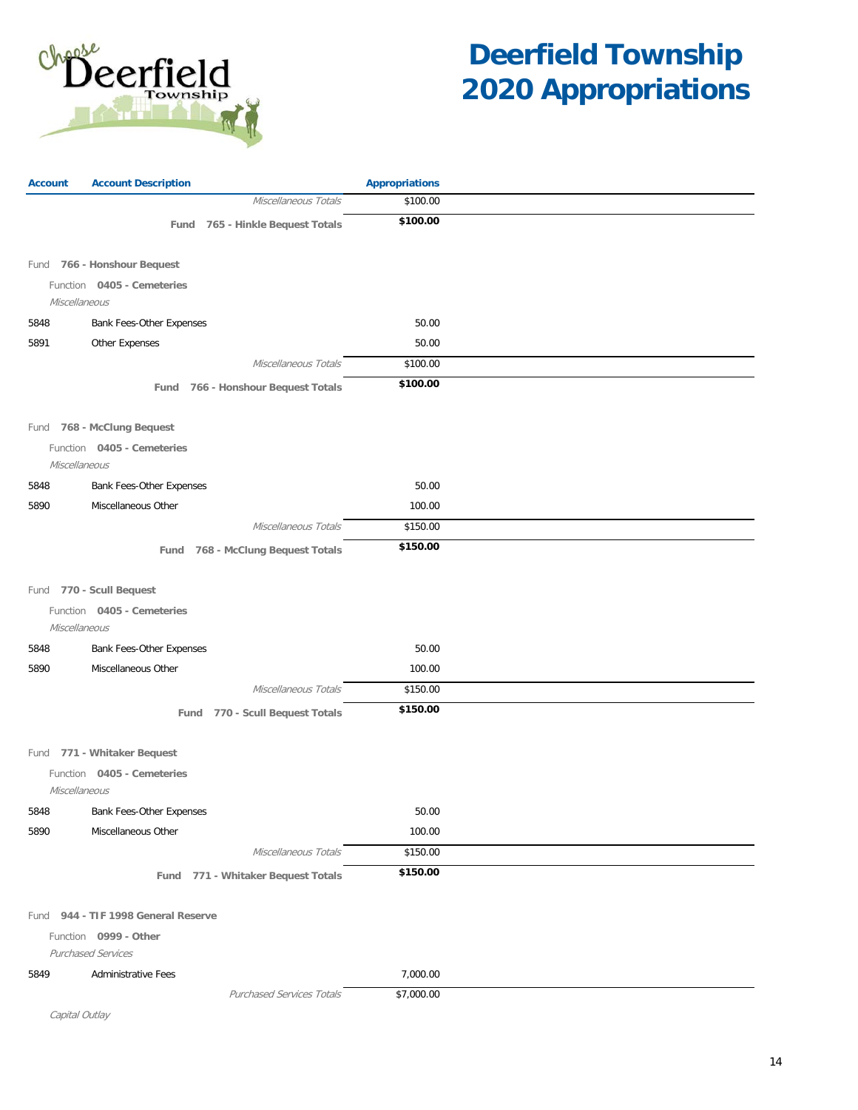

| <b>Account</b> | <b>Account Description</b>                         | <b>Appropriations</b> |  |
|----------------|----------------------------------------------------|-----------------------|--|
|                | Miscellaneous Totals                               | \$100.00              |  |
|                | Fund 765 - Hinkle Bequest Totals                   | \$100.00              |  |
|                |                                                    |                       |  |
|                | Fund 766 - Honshour Bequest                        |                       |  |
|                | Function 0405 - Cemeteries                         |                       |  |
| Miscellaneous  |                                                    |                       |  |
| 5848           | Bank Fees-Other Expenses                           | 50.00                 |  |
| 5891           | Other Expenses                                     | 50.00                 |  |
|                | Miscellaneous Totals                               | \$100.00              |  |
|                | Fund 766 - Honshour Bequest Totals                 | \$100.00              |  |
|                |                                                    |                       |  |
|                | Fund 768 - McClung Bequest                         |                       |  |
| Miscellaneous  | Function 0405 - Cemeteries                         |                       |  |
| 5848           | Bank Fees-Other Expenses                           | 50.00                 |  |
| 5890           | Miscellaneous Other                                | 100.00                |  |
|                | Miscellaneous Totals                               | \$150.00              |  |
|                | Fund 768 - McClung Bequest Totals                  | \$150.00              |  |
|                |                                                    |                       |  |
|                | Fund 770 - Scull Bequest                           |                       |  |
|                | Function 0405 - Cemeteries                         |                       |  |
| Miscellaneous  |                                                    |                       |  |
| 5848           | Bank Fees-Other Expenses                           | 50.00                 |  |
| 5890           | Miscellaneous Other                                | 100.00                |  |
|                | Miscellaneous Totals                               | \$150.00              |  |
|                | Fund 770 - Scull Bequest Totals                    | \$150.00              |  |
|                |                                                    |                       |  |
|                | Fund 771 - Whitaker Bequest                        |                       |  |
|                | Function 0405 - Cemeteries                         |                       |  |
| Miscellaneous  |                                                    |                       |  |
| 5848           | Bank Fees-Other Expenses                           | 50.00                 |  |
| 5890           | Miscellaneous Other                                | 100.00                |  |
|                | Miscellaneous Totals                               | \$150.00              |  |
|                | Fund 771 - Whitaker Bequest Totals                 | \$150.00              |  |
|                |                                                    |                       |  |
|                | Fund 944 - TIF 1998 General Reserve                |                       |  |
|                | Function 0999 - Other<br><b>Purchased Services</b> |                       |  |
| 5849           | <b>Administrative Fees</b>                         | 7,000.00              |  |
|                | <b>Purchased Services Totals</b>                   | \$7,000.00            |  |
| Capital Outlay |                                                    |                       |  |